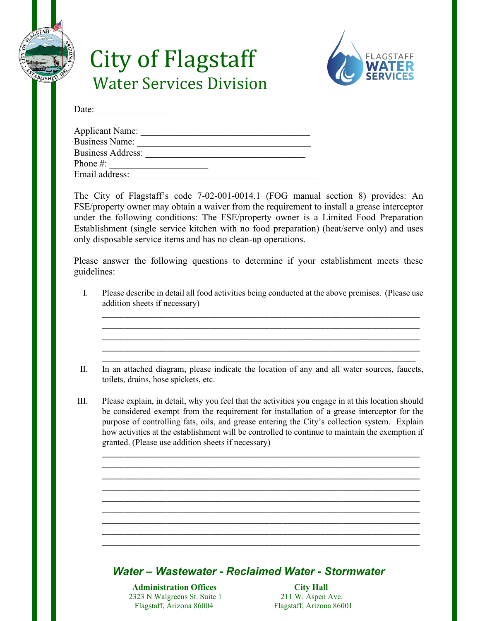

# City of Flagstaff Water Services Division



Date: \_\_\_\_\_\_\_\_\_\_\_\_\_\_\_

| <b>Applicant Name:</b>   |  |
|--------------------------|--|
| <b>Business Name:</b>    |  |
| <b>Business Address:</b> |  |
| Phone #:                 |  |
| Email address:           |  |

The City of Flagstaff's code 7-02-001-0014.1 (FOG manual section 8) provides: An FSE/property owner may obtain a waiver from the requirement to install a grease interceptor under the following conditions: The FSE/property owner is a Limited Food Preparation Establishment (single service kitchen with no food preparation) (heat/serve only) and uses only disposable service items and has no clean-up operations.

Please answer the following questions to determine if your establishment meets these guidelines:

I. Please describe in detail all food activities being conducted at the above premises. (Please use addition sheets if necessary)

\_\_\_\_\_\_\_\_\_\_\_\_\_\_\_\_\_\_\_\_\_\_\_\_\_\_\_\_\_\_\_\_\_\_\_\_\_\_\_\_\_\_\_\_\_\_\_\_\_\_\_\_\_\_\_\_\_\_\_\_\_\_\_\_\_\_\_\_\_\_\_\_\_\_ \_\_\_\_\_\_\_\_\_\_\_\_\_\_\_\_\_\_\_\_\_\_\_\_\_\_\_\_\_\_\_\_\_\_\_\_\_\_\_\_\_\_\_\_\_\_\_\_\_\_\_\_\_\_\_\_\_\_\_\_\_\_\_\_\_\_\_\_\_\_\_\_\_\_ \_\_\_\_\_\_\_\_\_\_\_\_\_\_\_\_\_\_\_\_\_\_\_\_\_\_\_\_\_\_\_\_\_\_\_\_\_\_\_\_\_\_\_\_\_\_\_\_\_\_\_\_\_\_\_\_\_\_\_\_\_\_\_\_\_\_\_\_\_\_\_\_\_\_ \_\_\_\_\_\_\_\_\_\_\_\_\_\_\_\_\_\_\_\_\_\_\_\_\_\_\_\_\_\_\_\_\_\_\_\_\_\_\_\_\_\_\_\_\_\_\_\_\_\_\_\_\_\_\_\_\_\_\_\_\_\_\_\_\_\_\_\_\_\_\_\_\_\_ \_\_\_\_\_\_\_\_\_\_\_\_\_\_\_\_\_\_\_\_\_\_\_\_\_\_\_\_\_\_\_\_\_\_\_\_\_\_\_\_\_\_\_\_\_\_\_\_\_\_\_\_\_\_\_\_\_\_\_\_\_\_\_\_\_\_\_\_\_\_\_\_\_

II. In an attached diagram, please indicate the location of any and all water sources, faucets, toilets, drains, hose spickets, etc.

III. Please explain, in detail, why you feel that the activities you engage in at this location should be considered exempt from the requirement for installation of a grease interceptor for the purpose of controlling fats, oils, and grease entering the City's collection system. Explain how activities at the establishment will be controlled to continue to maintain the exemption if granted. (Please use addition sheets if necessary)

\_\_\_\_\_\_\_\_\_\_\_\_\_\_\_\_\_\_\_\_\_\_\_\_\_\_\_\_\_\_\_\_\_\_\_\_\_\_\_\_\_\_\_\_\_\_\_\_\_\_\_\_\_\_\_\_\_\_\_\_\_\_\_\_\_\_\_\_\_\_\_\_\_\_ \_\_\_\_\_\_\_\_\_\_\_\_\_\_\_\_\_\_\_\_\_\_\_\_\_\_\_\_\_\_\_\_\_\_\_\_\_\_\_\_\_\_\_\_\_\_\_\_\_\_\_\_\_\_\_\_\_\_\_\_\_\_\_\_\_\_\_\_\_\_\_\_\_\_ \_\_\_\_\_\_\_\_\_\_\_\_\_\_\_\_\_\_\_\_\_\_\_\_\_\_\_\_\_\_\_\_\_\_\_\_\_\_\_\_\_\_\_\_\_\_\_\_\_\_\_\_\_\_\_\_\_\_\_\_\_\_\_\_\_\_\_\_\_\_\_\_\_\_ \_\_\_\_\_\_\_\_\_\_\_\_\_\_\_\_\_\_\_\_\_\_\_\_\_\_\_\_\_\_\_\_\_\_\_\_\_\_\_\_\_\_\_\_\_\_\_\_\_\_\_\_\_\_\_\_\_\_\_\_\_\_\_\_\_\_\_\_\_\_\_\_\_\_ \_\_\_\_\_\_\_\_\_\_\_\_\_\_\_\_\_\_\_\_\_\_\_\_\_\_\_\_\_\_\_\_\_\_\_\_\_\_\_\_\_\_\_\_\_\_\_\_\_\_\_\_\_\_\_\_\_\_\_\_\_\_\_\_\_\_\_\_\_\_\_\_\_\_ \_\_\_\_\_\_\_\_\_\_\_\_\_\_\_\_\_\_\_\_\_\_\_\_\_\_\_\_\_\_\_\_\_\_\_\_\_\_\_\_\_\_\_\_\_\_\_\_\_\_\_\_\_\_\_\_\_\_\_\_\_\_\_\_\_\_\_\_\_\_\_\_\_\_ \_\_\_\_\_\_\_\_\_\_\_\_\_\_\_\_\_\_\_\_\_\_\_\_\_\_\_\_\_\_\_\_\_\_\_\_\_\_\_\_\_\_\_\_\_\_\_\_\_\_\_\_\_\_\_\_\_\_\_\_\_\_\_\_\_\_\_\_\_\_\_\_\_\_ \_\_\_\_\_\_\_\_\_\_\_\_\_\_\_\_\_\_\_\_\_\_\_\_\_\_\_\_\_\_\_\_\_\_\_\_\_\_\_\_\_\_\_\_\_\_\_\_\_\_\_\_\_\_\_\_\_\_\_\_\_\_\_\_\_\_\_\_\_\_\_\_\_\_ \_\_\_\_\_\_\_\_\_\_\_\_\_\_\_\_\_\_\_\_\_\_\_\_\_\_\_\_\_\_\_\_\_\_\_\_\_\_\_\_\_\_\_\_\_\_\_\_\_\_\_\_\_\_\_\_\_\_\_\_\_\_\_\_\_\_\_\_\_\_\_\_\_\_

#### *Water – Wastewater - Reclaimed Water - Stormwater*

**Administration Offices** City Hall<br>
2323 N Walgreens St. Suite 1 211 W. Aspen Ave. **2323 N Walgreens St. Suite 1** Flagstaff, Arizona 86004 Flagstaff, Arizona 86001